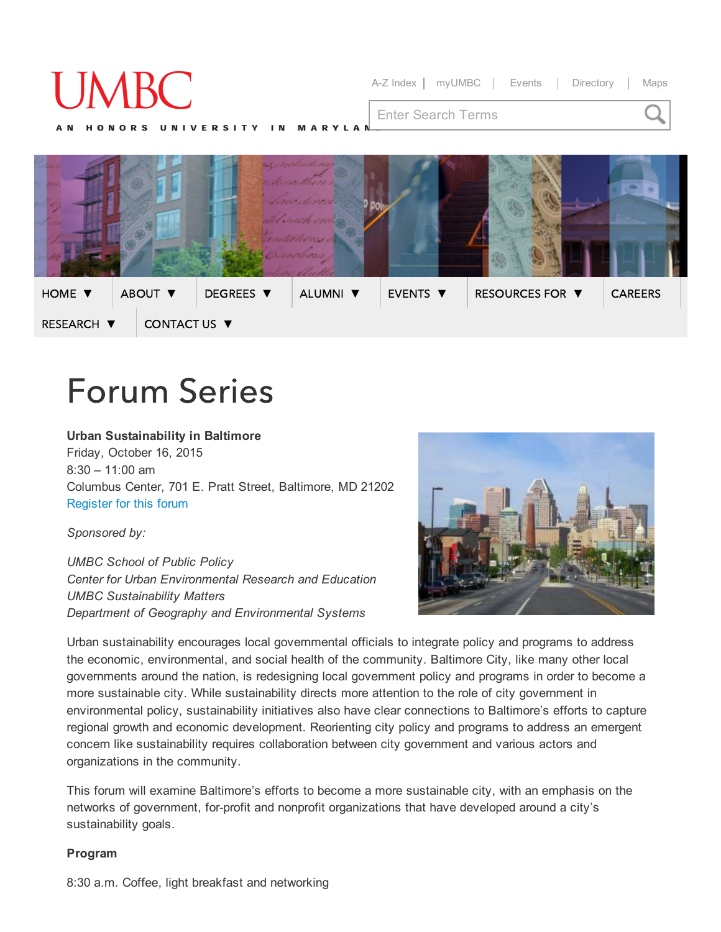# Series A-Z [Index](http://umbc.edu/siteindex) | [myUMBC](http://my.umbc.edu/) | [Events](http://my.umbc.edu/events) | [Directory](http://umbc.edu/search/directory) | [Maps](http://about.umbc.edu/visitors-guide/campus-map/) Enter Search Terms HOME [▼](http://publicpolicy.umbc.edu/) ABOUT [▼](http://publicpolicy.umbc.edu/about-us/) [DEGREES](http://umbc.edu/) [▼](http://publicpolicy.umbc.edu/programs-of-study/) ALUMNI [▼](http://publicpolicy.umbc.edu/alumni/) EVENTS [▼](http://publicpolicy.umbc.edu/events/) RESOURCES FOR ▼ CAREERS [▼](http://publicpolicy.umbc.edu/research/) CONTACT US [▼](http://publicpolicy.umbc.edu/about-us/contact-us/)

# **Forum Series**

# Urban Sustainability in Baltimore

Friday, October 16, 2015  $8:30 - 11:00$  am Columbus Center, 701 E. Pratt Street, Baltimore, MD 21202 [Register](http://publicpolicy.umbc.edu/forum-registration/) for this forum

# *Sponsored by:*

*UMBC School of Public Policy Center for Urban Environmental Research and Education UMBC Sustainability Matters Department of Geography and Environmental Systems*



Urban sustainability encourages local governmental officials to integrate policy and programs to address the economic, environmental, and social health of the community. Baltimore City, like many other local governments around the nation, is redesigning local government policy and programs in order to become a more sustainable city. While sustainability directs more attention to the role of city government in environmental policy, sustainability initiatives also have clear connections to Baltimore's efforts to capture regional growth and economic development. Reorienting city policy and programs to address an emergent concern like sustainability requires collaboration between city government and various actors and organizations in the community.

This forum will examine Baltimore's efforts to become a more sustainable city, with an emphasis on the networks of government, for-profit and nonprofit organizations that have developed around a city's sustainability goals.

### Program

8:30 a.m. Coffee, light breakfast and networking